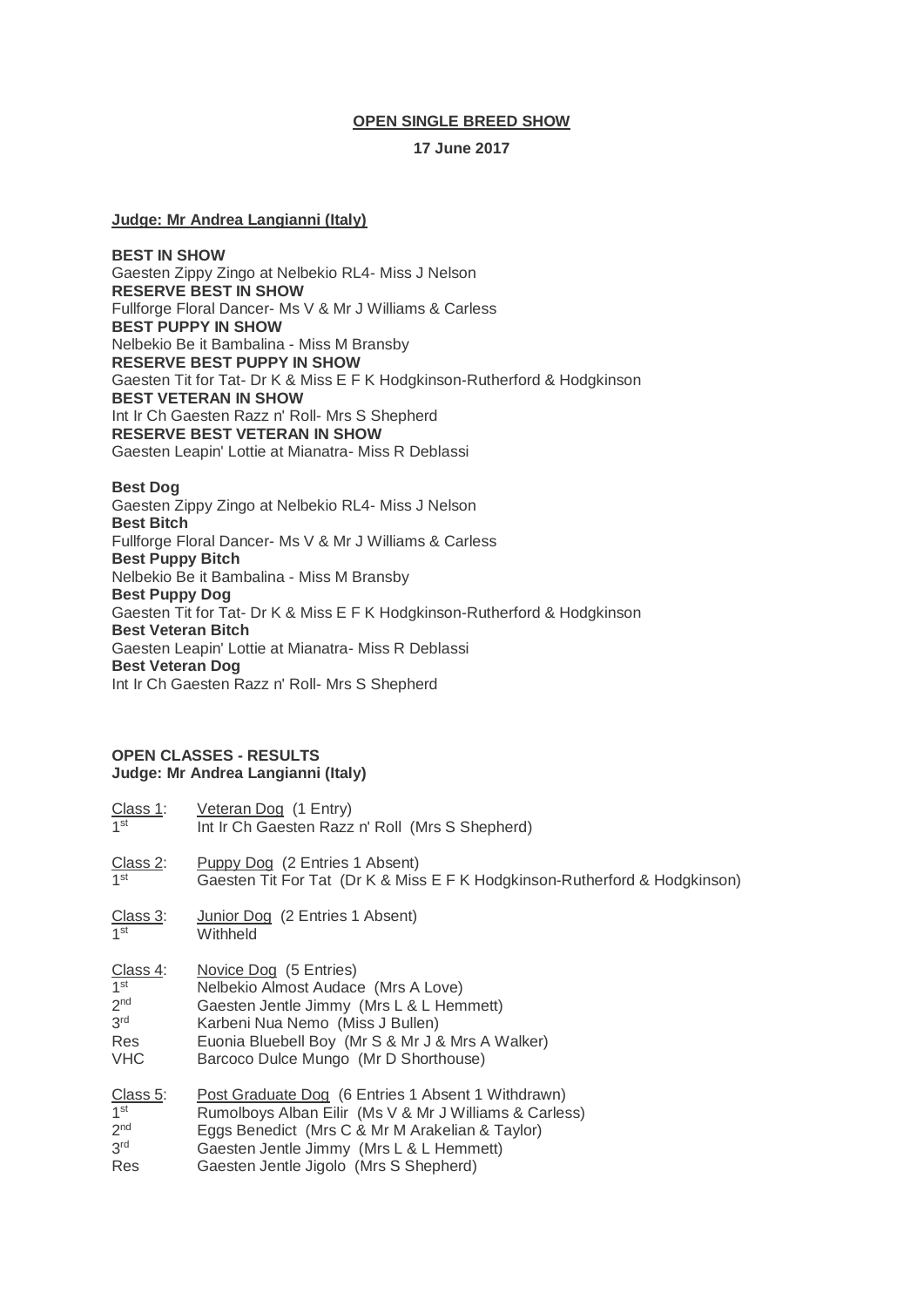## **OPEN SINGLE BREED SHOW**

## **17 June 2017**

# **Judge: Mr Andrea Langianni (Italy)**

**BEST IN SHOW** Gaesten Zippy Zingo at Nelbekio RL4- Miss J Nelson **RESERVE BEST IN SHOW** Fullforge Floral Dancer- Ms V & Mr J Williams & Carless **BEST PUPPY IN SHOW** Nelbekio Be it Bambalina - Miss M Bransby **RESERVE BEST PUPPY IN SHOW** Gaesten Tit for Tat- Dr K & Miss E F K Hodgkinson-Rutherford & Hodgkinson **BEST VETERAN IN SHOW** Int Ir Ch Gaesten Razz n' Roll- Mrs S Shepherd **RESERVE BEST VETERAN IN SHOW** Gaesten Leapin' Lottie at Mianatra- Miss R Deblassi

### **Best Dog**

Gaesten Zippy Zingo at Nelbekio RL4- Miss J Nelson **Best Bitch** Fullforge Floral Dancer- Ms V & Mr J Williams & Carless **Best Puppy Bitch** Nelbekio Be it Bambalina - Miss M Bransby **Best Puppy Dog** Gaesten Tit for Tat- Dr K & Miss E F K Hodgkinson-Rutherford & Hodgkinson **Best Veteran Bitch** Gaesten Leapin' Lottie at Mianatra- Miss R Deblassi **Best Veteran Dog** Int Ir Ch Gaesten Razz n' Roll- Mrs S Shepherd

## **OPEN CLASSES - RESULTS Judge: Mr Andrea Langianni (Italy)**

| Class 1:                                 | Veteran Dog (1 Entry)                                                                                               |
|------------------------------------------|---------------------------------------------------------------------------------------------------------------------|
| $1$ st                                   | Int Ir Ch Gaesten Razz n' Roll (Mrs S Shepherd)                                                                     |
| $\frac{\text{Class 2:}}{1^{\text{st}}}$  | <b>Puppy Dog</b> (2 Entries 1 Absent)<br>Gaesten Tit For Tat (Dr K & Miss E F K Hodgkinson-Rutherford & Hodgkinson) |
| $\frac{\text{Class } 3:}{1^{\text{st}}}$ | Junior Dog (2 Entries 1 Absent)<br>Withheld                                                                         |
| Class 4:                                 | Novice Dog (5 Entries)                                                                                              |
| 1 <sup>st</sup>                          | Nelbekio Almost Audace (Mrs A Love)                                                                                 |
| 2 <sub>nd</sub>                          | Gaesten Jentle Jimmy (Mrs L & L Hemmett)                                                                            |
| 3 <sup>rd</sup>                          | Karbeni Nua Nemo (Miss J Bullen)                                                                                    |
| Res                                      | Euonia Bluebell Boy (Mr S & Mr J & Mrs A Walker)                                                                    |
| <b>VHC</b>                               | Barcoco Dulce Mungo (Mr D Shorthouse)                                                                               |
| Class 5:                                 | Post Graduate Dog (6 Entries 1 Absent 1 Withdrawn)                                                                  |
| 1 <sup>st</sup>                          | Rumolboys Alban Eilir (Ms V & Mr J Williams & Carless)                                                              |
| 2 <sup>nd</sup>                          | Eggs Benedict (Mrs C & Mr M Arakelian & Taylor)                                                                     |
| 3 <sup>rd</sup>                          | Gaesten Jentle Jimmy (Mrs L & L Hemmett)                                                                            |
| Res                                      | Gaesten Jentle Jigolo (Mrs S Shepherd)                                                                              |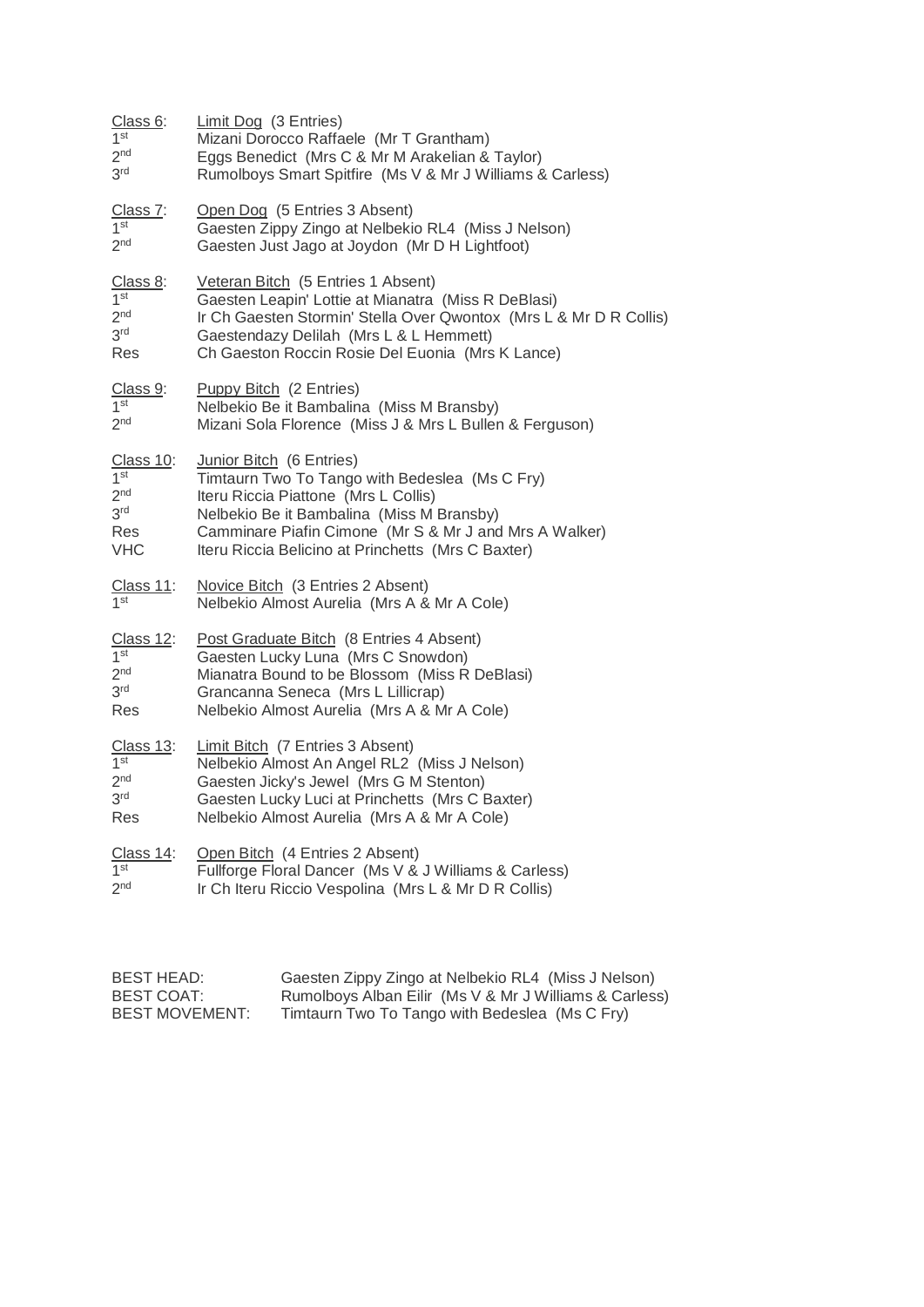| Class 6:         | Limit Dog (3 Entries)                                              |  |
|------------------|--------------------------------------------------------------------|--|
| 1 <sup>st</sup>  | Mizani Dorocco Raffaele (Mr T Grantham)                            |  |
| 2 <sup>nd</sup>  | Eggs Benedict (Mrs C & Mr M Arakelian & Taylor)                    |  |
| 3 <sup>rd</sup>  | Rumolboys Smart Spitfire (Ms V & Mr J Williams & Carless)          |  |
| Class 7:         | Open Dog (5 Entries 3 Absent)                                      |  |
| 1 <sup>st</sup>  | Gaesten Zippy Zingo at Nelbekio RL4 (Miss J Nelson)                |  |
| 2 <sub>nd</sub>  | Gaesten Just Jago at Joydon (Mr D H Lightfoot)                     |  |
| Class 8:         | Veteran Bitch (5 Entries 1 Absent)                                 |  |
| 1 <sup>st</sup>  | Gaesten Leapin' Lottie at Mianatra (Miss R DeBlasi)                |  |
| 2 <sub>nd</sub>  | Ir Ch Gaesten Stormin' Stella Over Qwontox (Mrs L & Mr D R Collis) |  |
| 3 <sup>rd</sup>  | Gaestendazy Delilah (Mrs L & L Hemmett)                            |  |
| Res              | Ch Gaeston Roccin Rosie Del Euonia (Mrs K Lance)                   |  |
| Class 9:         | <b>Puppy Bitch</b> (2 Entries)                                     |  |
| 1 <sup>st</sup>  | Nelbekio Be it Bambalina (Miss M Bransby)                          |  |
| 2 <sub>nd</sub>  | Mizani Sola Florence (Miss J & Mrs L Bullen & Ferguson)            |  |
| Class 10:        | Junior Bitch (6 Entries)                                           |  |
| 1 <sup>st</sup>  | Timtaurn Two To Tango with Bedeslea (Ms C Fry)                     |  |
| 2 <sup>nd</sup>  | Iteru Riccia Piattone (Mrs L Collis)                               |  |
| 3 <sup>rd</sup>  | Nelbekio Be it Bambalina (Miss M Bransby)                          |  |
| Res              | Camminare Piafin Cimone (Mr S & Mr J and Mrs A Walker)             |  |
| <b>VHC</b>       | Iteru Riccia Belicino at Princhetts (Mrs C Baxter)                 |  |
| Class 11:        | Novice Bitch (3 Entries 2 Absent)                                  |  |
| 1st              | Nelbekio Almost Aurelia (Mrs A & Mr A Cole)                        |  |
| Class 12:        | Post Graduate Bitch (8 Entries 4 Absent)                           |  |
| 1 <sup>st</sup>  | Gaesten Lucky Luna (Mrs C Snowdon)                                 |  |
| 2 <sup>nd</sup>  | Mianatra Bound to be Blossom (Miss R DeBlasi)                      |  |
| 3 <sup>rd</sup>  | Grancanna Seneca (Mrs L Lillicrap)                                 |  |
| Res              | Nelbekio Almost Aurelia (Mrs A & Mr A Cole)                        |  |
| Class 13:        | Limit Bitch (7 Entries 3 Absent)                                   |  |
| 1 <sup>st</sup>  | Nelbekio Almost An Angel RL2 (Miss J Nelson)                       |  |
| 2 <sup>nd</sup>  | Gaesten Jicky's Jewel (Mrs G M Stenton)                            |  |
| 3 <sup>rd</sup>  | Gaesten Lucky Luci at Princhetts (Mrs C Baxter)                    |  |
| Res              | Nelbekio Almost Aurelia (Mrs A & Mr A Cole)                        |  |
| <u>Class 14:</u> | Open Bitch (4 Entries 2 Absent)                                    |  |
| 1 <sup>st</sup>  | Fullforge Floral Dancer (Ms V & J Williams & Carless)              |  |
| 2 <sub>nd</sub>  | Ir Ch Iteru Riccio Vespolina (Mrs L & Mr D R Collis)               |  |

| BEST HEAD:     | Gaesten Zippy Zingo at Nelbekio RL4 (Miss J Nelson)    |
|----------------|--------------------------------------------------------|
| BEST COAT:     | Rumolboys Alban Eilir (Ms V & Mr J Williams & Carless) |
| BEST MOVEMENT: | Timtaurn Two To Tango with Bedeslea (Ms C Fry)         |